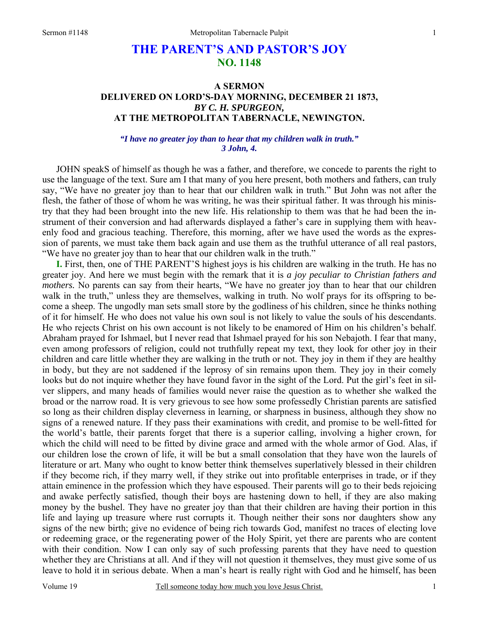# **THE PARENT'S AND PASTOR'S JOY NO. 1148**

## **A SERMON DELIVERED ON LORD'S-DAY MORNING, DECEMBER 21 1873,**  *BY C. H. SPURGEON,*  **AT THE METROPOLITAN TABERNACLE, NEWINGTON.**

## *"I have no greater joy than to hear that my children walk in truth." 3 John, 4.*

JOHN speakS of himself as though he was a father, and therefore, we concede to parents the right to use the language of the text. Sure am I that many of you here present, both mothers and fathers, can truly say, "We have no greater joy than to hear that our children walk in truth." But John was not after the flesh, the father of those of whom he was writing, he was their spiritual father. It was through his ministry that they had been brought into the new life. His relationship to them was that he had been the instrument of their conversion and had afterwards displayed a father's care in supplying them with heavenly food and gracious teaching. Therefore, this morning, after we have used the words as the expression of parents, we must take them back again and use them as the truthful utterance of all real pastors, "We have no greater joy than to hear that our children walk in the truth."

**I.** First, then, one of THE PARENT'S highest joys is his children are walking in the truth. He has no greater joy. And here we must begin with the remark that it is *a joy peculiar to Christian fathers and mothers.* No parents can say from their hearts, "We have no greater joy than to hear that our children walk in the truth," unless they are themselves, walking in truth. No wolf prays for its offspring to become a sheep. The ungodly man sets small store by the godliness of his children, since he thinks nothing of it for himself. He who does not value his own soul is not likely to value the souls of his descendants. He who rejects Christ on his own account is not likely to be enamored of Him on his children's behalf. Abraham prayed for Ishmael, but I never read that Ishmael prayed for his son Nebajoth. I fear that many, even among professors of religion, could not truthfully repeat my text, they look for other joy in their children and care little whether they are walking in the truth or not. They joy in them if they are healthy in body, but they are not saddened if the leprosy of sin remains upon them. They joy in their comely looks but do not inquire whether they have found favor in the sight of the Lord. Put the girl's feet in silver slippers, and many heads of families would never raise the question as to whether she walked the broad or the narrow road. It is very grievous to see how some professedly Christian parents are satisfied so long as their children display cleverness in learning, or sharpness in business, although they show no signs of a renewed nature. If they pass their examinations with credit, and promise to be well-fitted for the world's battle, their parents forget that there is a superior calling, involving a higher crown, for which the child will need to be fitted by divine grace and armed with the whole armor of God. Alas, if our children lose the crown of life, it will be but a small consolation that they have won the laurels of literature or art. Many who ought to know better think themselves superlatively blessed in their children if they become rich, if they marry well, if they strike out into profitable enterprises in trade, or if they attain eminence in the profession which they have espoused. Their parents will go to their beds rejoicing and awake perfectly satisfied, though their boys are hastening down to hell, if they are also making money by the bushel. They have no greater joy than that their children are having their portion in this life and laying up treasure where rust corrupts it. Though neither their sons nor daughters show any signs of the new birth; give no evidence of being rich towards God, manifest no traces of electing love or redeeming grace, or the regenerating power of the Holy Spirit, yet there are parents who are content with their condition. Now I can only say of such professing parents that they have need to question whether they are Christians at all. And if they will not question it themselves, they must give some of us leave to hold it in serious debate. When a man's heart is really right with God and he himself, has been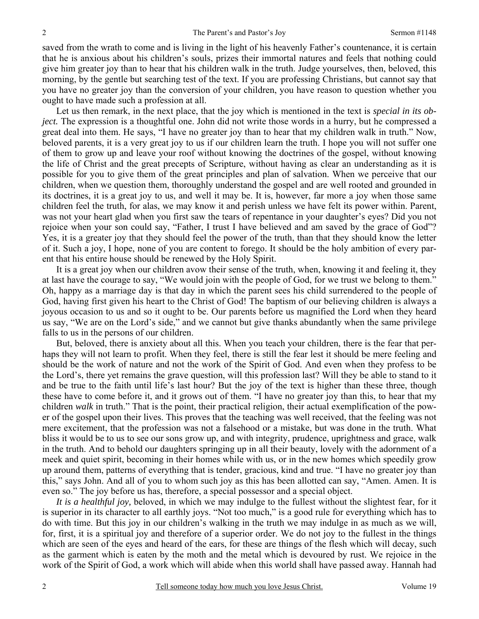saved from the wrath to come and is living in the light of his heavenly Father's countenance, it is certain that he is anxious about his children's souls, prizes their immortal natures and feels that nothing could give him greater joy than to hear that his children walk in the truth. Judge yourselves, then, beloved, this morning, by the gentle but searching test of the text. If you are professing Christians, but cannot say that you have no greater joy than the conversion of your children, you have reason to question whether you ought to have made such a profession at all.

Let us then remark, in the next place, that the joy which is mentioned in the text is *special in its object.* The expression is a thoughtful one. John did not write those words in a hurry, but he compressed a great deal into them. He says, "I have no greater joy than to hear that my children walk in truth." Now, beloved parents, it is a very great joy to us if our children learn the truth. I hope you will not suffer one of them to grow up and leave your roof without knowing the doctrines of the gospel, without knowing the life of Christ and the great precepts of Scripture, without having as clear an understanding as it is possible for you to give them of the great principles and plan of salvation. When we perceive that our children, when we question them, thoroughly understand the gospel and are well rooted and grounded in its doctrines, it is a great joy to us, and well it may be. It is, however, far more a joy when those same children feel the truth, for alas, we may know it and perish unless we have felt its power within. Parent, was not your heart glad when you first saw the tears of repentance in your daughter's eyes? Did you not rejoice when your son could say, "Father, I trust I have believed and am saved by the grace of God"? Yes, it is a greater joy that they should feel the power of the truth, than that they should know the letter of it. Such a joy, I hope, none of you are content to forego. It should be the holy ambition of every parent that his entire house should be renewed by the Holy Spirit.

It is a great joy when our children avow their sense of the truth, when, knowing it and feeling it, they at last have the courage to say, "We would join with the people of God, for we trust we belong to them." Oh, happy as a marriage day is that day in which the parent sees his child surrendered to the people of God, having first given his heart to the Christ of God! The baptism of our believing children is always a joyous occasion to us and so it ought to be. Our parents before us magnified the Lord when they heard us say, "We are on the Lord's side," and we cannot but give thanks abundantly when the same privilege falls to us in the persons of our children.

But, beloved, there is anxiety about all this. When you teach your children, there is the fear that perhaps they will not learn to profit. When they feel, there is still the fear lest it should be mere feeling and should be the work of nature and not the work of the Spirit of God. And even when they profess to be the Lord's, there yet remains the grave question, will this profession last? Will they be able to stand to it and be true to the faith until life's last hour? But the joy of the text is higher than these three, though these have to come before it, and it grows out of them. "I have no greater joy than this, to hear that my children *walk* in truth." That is the point, their practical religion, their actual exemplification of the power of the gospel upon their lives. This proves that the teaching was well received, that the feeling was not mere excitement, that the profession was not a falsehood or a mistake, but was done in the truth. What bliss it would be to us to see our sons grow up, and with integrity, prudence, uprightness and grace, walk in the truth. And to behold our daughters springing up in all their beauty, lovely with the adornment of a meek and quiet spirit, becoming in their homes while with us, or in the new homes which speedily grow up around them, patterns of everything that is tender, gracious, kind and true. "I have no greater joy than this," says John. And all of you to whom such joy as this has been allotted can say, "Amen. Amen. It is even so." The joy before us has, therefore, a special possessor and a special object.

*It is a healthful joy,* beloved, in which we may indulge to the fullest without the slightest fear, for it is superior in its character to all earthly joys. "Not too much," is a good rule for everything which has to do with time. But this joy in our children's walking in the truth we may indulge in as much as we will, for, first, it is a spiritual joy and therefore of a superior order. We do not joy to the fullest in the things which are seen of the eyes and heard of the ears, for these are things of the flesh which will decay, such as the garment which is eaten by the moth and the metal which is devoured by rust. We rejoice in the work of the Spirit of God, a work which will abide when this world shall have passed away. Hannah had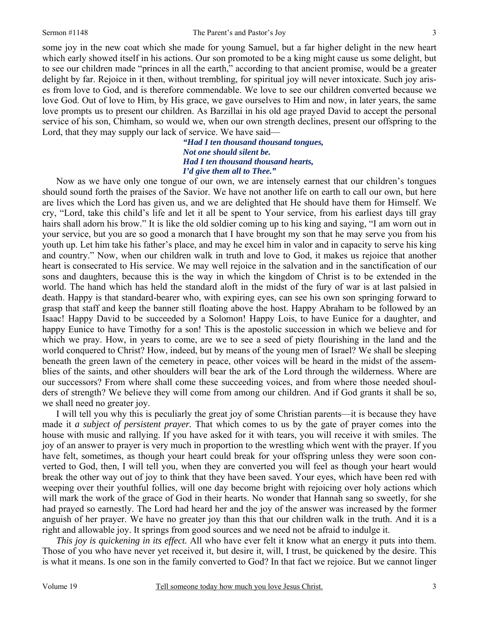some joy in the new coat which she made for young Samuel, but a far higher delight in the new heart which early showed itself in his actions. Our son promoted to be a king might cause us some delight, but to see our children made "princes in all the earth," according to that ancient promise, would be a greater delight by far. Rejoice in it then, without trembling, for spiritual joy will never intoxicate. Such joy arises from love to God, and is therefore commendable. We love to see our children converted because we love God. Out of love to Him, by His grace, we gave ourselves to Him and now, in later years, the same love prompts us to present our children. As Barzillai in his old age prayed David to accept the personal service of his son, Chimham, so would we, when our own strength declines, present our offspring to the Lord, that they may supply our lack of service. We have said—

> *"Had I ten thousand thousand tongues, Not one should silent be. Had I ten thousand thousand hearts, I'd give them all to Thee."*

 Now as we have only one tongue of our own, we are intensely earnest that our children's tongues should sound forth the praises of the Savior. We have not another life on earth to call our own, but here are lives which the Lord has given us, and we are delighted that He should have them for Himself. We cry, "Lord, take this child's life and let it all be spent to Your service, from his earliest days till gray hairs shall adorn his brow." It is like the old soldier coming up to his king and saying, "I am worn out in your service, but you are so good a monarch that I have brought my son that he may serve you from his youth up. Let him take his father's place, and may he excel him in valor and in capacity to serve his king and country." Now, when our children walk in truth and love to God, it makes us rejoice that another heart is consecrated to His service. We may well rejoice in the salvation and in the sanctification of our sons and daughters, because this is the way in which the kingdom of Christ is to be extended in the world. The hand which has held the standard aloft in the midst of the fury of war is at last palsied in death. Happy is that standard-bearer who, with expiring eyes, can see his own son springing forward to grasp that staff and keep the banner still floating above the host. Happy Abraham to be followed by an Isaac! Happy David to be succeeded by a Solomon! Happy Lois, to have Eunice for a daughter, and happy Eunice to have Timothy for a son! This is the apostolic succession in which we believe and for which we pray. How, in years to come, are we to see a seed of piety flourishing in the land and the world conquered to Christ? How, indeed, but by means of the young men of Israel? We shall be sleeping beneath the green lawn of the cemetery in peace, other voices will be heard in the midst of the assemblies of the saints, and other shoulders will bear the ark of the Lord through the wilderness. Where are our successors? From where shall come these succeeding voices, and from where those needed shoulders of strength? We believe they will come from among our children. And if God grants it shall be so, we shall need no greater joy.

I will tell you why this is peculiarly the great joy of some Christian parents—it is because they have made it *a subject of persistent prayer.* That which comes to us by the gate of prayer comes into the house with music and rallying. If you have asked for it with tears, you will receive it with smiles. The joy of an answer to prayer is very much in proportion to the wrestling which went with the prayer. If you have felt, sometimes, as though your heart could break for your offspring unless they were soon converted to God, then, I will tell you, when they are converted you will feel as though your heart would break the other way out of joy to think that they have been saved. Your eyes, which have been red with weeping over their youthful follies, will one day become bright with rejoicing over holy actions which will mark the work of the grace of God in their hearts. No wonder that Hannah sang so sweetly, for she had prayed so earnestly. The Lord had heard her and the joy of the answer was increased by the former anguish of her prayer. We have no greater joy than this that our children walk in the truth. And it is a right and allowable joy. It springs from good sources and we need not be afraid to indulge it.

*This joy is quickening in its effect.* All who have ever felt it know what an energy it puts into them. Those of you who have never yet received it, but desire it, will, I trust, be quickened by the desire. This is what it means. Is one son in the family converted to God? In that fact we rejoice. But we cannot linger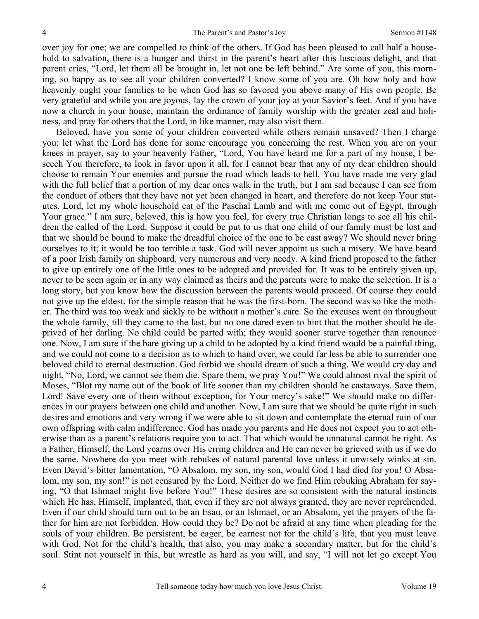over joy for one; we are compelled to think of the others. If God has been pleased to call half a household to salvation, there is a hunger and thirst in the parent's heart after this luscious delight, and that parent cries, "Lord, let them all be brought in, let not one be left behind." Are some of you, this morning, so happy as to see all your children converted? I know some of you are. Oh how holy and how heavenly ought your families to be when God has so favored you above many of His own people. Be very grateful and while you are joyous, lay the crown of your joy at your Savior's feet. And if you have now a church in your house, maintain the ordinance of family worship with the greater zeal and holiness, and pray for others that the Lord, in like manner, may also visit them.

Beloved, have you some of your children converted while others remain unsaved? Then I charge you; let what the Lord has done for some encourage you concerning the rest. When you are on your knees in prayer, say to your heavenly Father, "Lord, You have heard me for a part of my house, I beseech You therefore, to look in favor upon it all, for I cannot bear that any of my dear children should choose to remain Your enemies and pursue the road which leads to hell. You have made me very glad with the full belief that a portion of my dear ones walk in the truth, but I am sad because I can see from the conduct of others that they have not yet been changed in heart, and therefore do not keep Your statutes. Lord, let my whole household eat of the Paschal Lamb and with me come out of Egypt, through Your grace." I am sure, beloved, this is how you feel, for every true Christian longs to see all his children the called of the Lord. Suppose it could be put to us that one child of our family must be lost and that we should be bound to make the dreadful choice of the one to be cast away? We should never bring ourselves to it; it would be too terrible a task. God will never appoint us such a misery. We have heard of a poor Irish family on shipboard, very numerous and very needy. A kind friend proposed to the father to give up entirely one of the little ones to be adopted and provided for. It was to be entirely given up, never to be seen again or in any way claimed as theirs and the parents were to make the selection. It is a long story, but you know how the discussion between the parents would proceed. Of course they could not give up the eldest, for the simple reason that he was the first-born. The second was so like the mother. The third was too weak and sickly to be without a mother's care. So the excuses went on throughout the whole family, till they came to the last, but no one dared even to hint that the mother should be deprived of her darling. No child could be parted with; they would sooner starve together than renounce one. Now, I am sure if the bare giving up a child to be adopted by a kind friend would be a painful thing, and we could not come to a decision as to which to hand over, we could far less be able to surrender one beloved child to eternal destruction. God forbid we should dream of such a thing. We would cry day and night, "No, Lord, we cannot see them die. Spare them, we pray You!" We could almost rival the spirit of Moses, "Blot my name out of the book of life sooner than my children should be castaways. Save them, Lord! Save every one of them without exception, for Your mercy's sake!" We should make no differences in our prayers between one child and another. Now, I am sure that we should be quite right in such desires and emotions and very wrong if we were able to sit down and contemplate the eternal ruin of our own offspring with calm indifference. God has made you parents and He does not expect you to act otherwise than as a parent's relations require you to act. That which would be unnatural cannot be right. As a Father, Himself, the Lord yearns over His erring children and He can never be grieved with us if we do the same. Nowhere do you meet with rebukes of natural parental love unless it unwisely winks at sin. Even David's bitter lamentation, "O Absalom, my son, my son, would God I had died for you! O Absalom, my son, my son!" is not censured by the Lord. Neither do we find Him rebuking Abraham for saying, "O that Ishmael might live before You!" These desires are so consistent with the natural instincts which He has, Himself, implanted, that, even if they are not always granted, they are never reprehended. Even if our child should turn out to be an Esau, or an Ishmael, or an Absalom, yet the prayers of the father for him are not forbidden. How could they be? Do not be afraid at any time when pleading for the souls of your children. Be persistent, be eager, be earnest not for the child's life, that you must leave with God. Not for the child's health, that also, you may make a secondary matter, but for the child's soul. Stint not yourself in this, but wrestle as hard as you will, and say, "I will not let go except You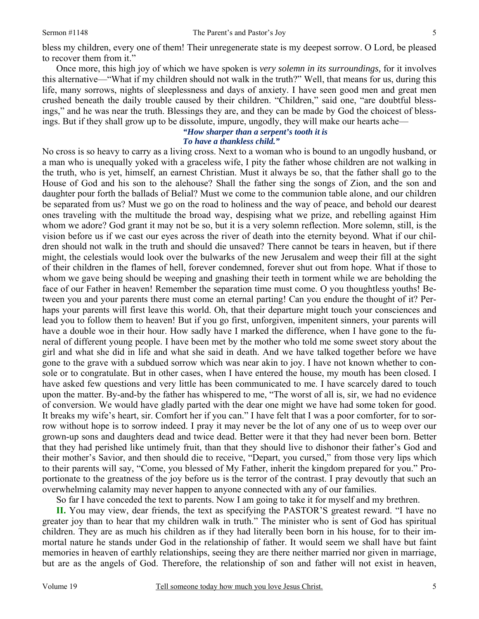bless my children, every one of them! Their unregenerate state is my deepest sorrow. O Lord, be pleased to recover them from it."

Once more, this high joy of which we have spoken is *very solemn in its surroundings,* for it involves this alternative—"What if my children should not walk in the truth?" Well, that means for us, during this life, many sorrows, nights of sleeplessness and days of anxiety. I have seen good men and great men crushed beneath the daily trouble caused by their children. "Children," said one, "are doubtful blessings," and he was near the truth. Blessings they are, and they can be made by God the choicest of blessings. But if they shall grow up to be dissolute, impure, ungodly, they will make our hearts ache—

#### *"How sharper than a serpent's tooth it is To have a thankless child."*

No cross is so heavy to carry as a living cross. Next to a woman who is bound to an ungodly husband, or a man who is unequally yoked with a graceless wife, I pity the father whose children are not walking in the truth, who is yet, himself, an earnest Christian. Must it always be so, that the father shall go to the House of God and his son to the alehouse? Shall the father sing the songs of Zion, and the son and daughter pour forth the ballads of Belial? Must we come to the communion table alone, and our children be separated from us? Must we go on the road to holiness and the way of peace, and behold our dearest ones traveling with the multitude the broad way, despising what we prize, and rebelling against Him whom we adore? God grant it may not be so, but it is a very solemn reflection. More solemn, still, is the vision before us if we cast our eyes across the river of death into the eternity beyond. What if our children should not walk in the truth and should die unsaved? There cannot be tears in heaven, but if there might, the celestials would look over the bulwarks of the new Jerusalem and weep their fill at the sight of their children in the flames of hell, forever condemned, forever shut out from hope. What if those to whom we gave being should be weeping and gnashing their teeth in torment while we are beholding the face of our Father in heaven! Remember the separation time must come. O you thoughtless youths! Between you and your parents there must come an eternal parting! Can you endure the thought of it? Perhaps your parents will first leave this world. Oh, that their departure might touch your consciences and lead you to follow them to heaven! But if you go first, unforgiven, impenitent sinners, your parents will have a double woe in their hour. How sadly have I marked the difference, when I have gone to the funeral of different young people. I have been met by the mother who told me some sweet story about the girl and what she did in life and what she said in death. And we have talked together before we have gone to the grave with a subdued sorrow which was near akin to joy. I have not known whether to console or to congratulate. But in other cases, when I have entered the house, my mouth has been closed. I have asked few questions and very little has been communicated to me. I have scarcely dared to touch upon the matter. By-and-by the father has whispered to me, "The worst of all is, sir, we had no evidence of conversion. We would have gladly parted with the dear one might we have had some token for good. It breaks my wife's heart, sir. Comfort her if you can." I have felt that I was a poor comforter, for to sorrow without hope is to sorrow indeed. I pray it may never be the lot of any one of us to weep over our grown-up sons and daughters dead and twice dead. Better were it that they had never been born. Better that they had perished like untimely fruit, than that they should live to dishonor their father's God and their mother's Savior, and then should die to receive, "Depart, you cursed," from those very lips which to their parents will say, "Come, you blessed of My Father, inherit the kingdom prepared for you." Proportionate to the greatness of the joy before us is the terror of the contrast. I pray devoutly that such an overwhelming calamity may never happen to anyone connected with any of our families.

So far I have conceded the text to parents. Now I am going to take it for myself and my brethren.

**II.** You may view, dear friends, the text as specifying the PASTOR'S greatest reward. "I have no greater joy than to hear that my children walk in truth." The minister who is sent of God has spiritual children. They are as much his children as if they had literally been born in his house, for to their immortal nature he stands under God in the relationship of father. It would seem we shall have but faint memories in heaven of earthly relationships, seeing they are there neither married nor given in marriage, but are as the angels of God. Therefore, the relationship of son and father will not exist in heaven,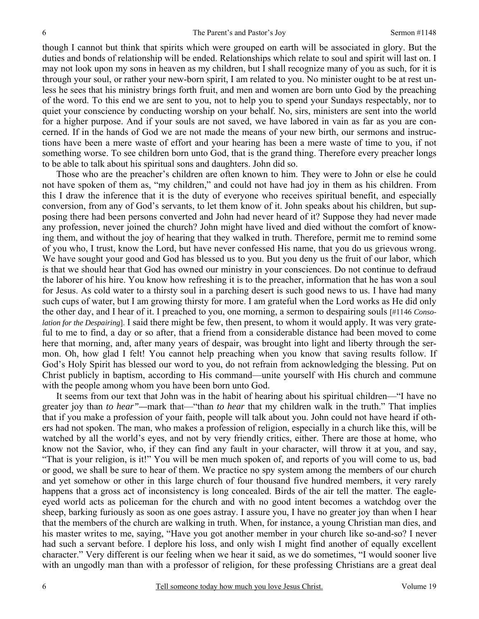though I cannot but think that spirits which were grouped on earth will be associated in glory. But the duties and bonds of relationship will be ended. Relationships which relate to soul and spirit will last on. I may not look upon my sons in heaven as my children, but I shall recognize many of you as such, for it is through your soul, or rather your new-born spirit, I am related to you. No minister ought to be at rest unless he sees that his ministry brings forth fruit, and men and women are born unto God by the preaching of the word. To this end we are sent to you, not to help you to spend your Sundays respectably, nor to quiet your conscience by conducting worship on your behalf. No, sirs, ministers are sent into the world for a higher purpose. And if your souls are not saved, we have labored in vain as far as you are concerned. If in the hands of God we are not made the means of your new birth, our sermons and instructions have been a mere waste of effort and your hearing has been a mere waste of time to you, if not something worse. To see children born unto God, that is the grand thing. Therefore every preacher longs to be able to talk about his spiritual sons and daughters. John did so.

Those who are the preacher's children are often known to him. They were to John or else he could not have spoken of them as, "my children," and could not have had joy in them as his children. From this I draw the inference that it is the duty of everyone who receives spiritual benefit, and especially conversion, from any of God's servants, to let them know of it. John speaks about his children, but supposing there had been persons converted and John had never heard of it? Suppose they had never made any profession, never joined the church? John might have lived and died without the comfort of knowing them, and without the joy of hearing that they walked in truth. Therefore, permit me to remind some of you who, I trust, know the Lord, but have never confessed His name, that you do us grievous wrong. We have sought your good and God has blessed us to you. But you deny us the fruit of our labor, which is that we should hear that God has owned our ministry in your consciences. Do not continue to defraud the laborer of his hire. You know how refreshing it is to the preacher, information that he has won a soul for Jesus. As cold water to a thirsty soul in a parching desert is such good news to us. I have had many such cups of water, but I am growing thirsty for more. I am grateful when the Lord works as He did only the other day, and I hear of it. I preached to you, one morning, a sermon to despairing souls [#1146 *Consolation for the Despairing*]. I said there might be few, then present, to whom it would apply. It was very grateful to me to find, a day or so after, that a friend from a considerable distance had been moved to come here that morning, and, after many years of despair, was brought into light and liberty through the sermon. Oh, how glad I felt! You cannot help preaching when you know that saving results follow. If God's Holy Spirit has blessed our word to you, do not refrain from acknowledging the blessing. Put on Christ publicly in baptism, according to His command—unite yourself with His church and commune with the people among whom you have been born unto God.

It seems from our text that John was in the habit of hearing about his spiritual children—"I have no greater joy than *to hear"—*mark that—"than *to hear* that my children walk in the truth." That implies that if you make a profession of your faith, people will talk about you. John could not have heard if others had not spoken. The man, who makes a profession of religion, especially in a church like this, will be watched by all the world's eyes, and not by very friendly critics, either. There are those at home, who know not the Savior, who, if they can find any fault in your character, will throw it at you, and say, "That is your religion, is it!" You will be men much spoken of, and reports of you will come to us, bad or good, we shall be sure to hear of them. We practice no spy system among the members of our church and yet somehow or other in this large church of four thousand five hundred members, it very rarely happens that a gross act of inconsistency is long concealed. Birds of the air tell the matter. The eagleeyed world acts as policeman for the church and with no good intent becomes a watchdog over the sheep, barking furiously as soon as one goes astray. I assure you, I have no greater joy than when I hear that the members of the church are walking in truth. When, for instance, a young Christian man dies, and his master writes to me, saying, "Have you got another member in your church like so-and-so? I never had such a servant before. I deplore his loss, and only wish I might find another of equally excellent character." Very different is our feeling when we hear it said, as we do sometimes, "I would sooner live with an ungodly man than with a professor of religion, for these professing Christians are a great deal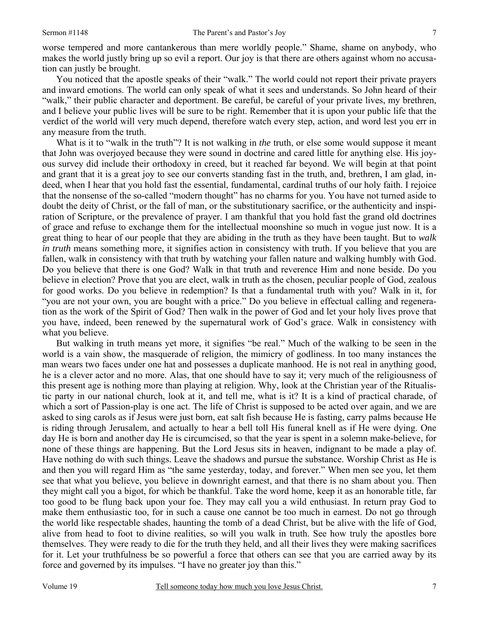worse tempered and more cantankerous than mere worldly people." Shame, shame on anybody, who makes the world justly bring up so evil a report. Our joy is that there are others against whom no accusation can justly be brought.

You noticed that the apostle speaks of their "walk." The world could not report their private prayers and inward emotions. The world can only speak of what it sees and understands. So John heard of their "walk," their public character and deportment. Be careful, be careful of your private lives, my brethren, and I believe your public lives will be sure to be right. Remember that it is upon your public life that the verdict of the world will very much depend, therefore watch every step, action, and word lest you err in any measure from the truth.

What is it to "walk in the truth"? It is not walking in *the* truth, or else some would suppose it meant that John was overjoyed because they were sound in doctrine and cared little for anything else. His joyous survey did include their orthodoxy in creed, but it reached far beyond. We will begin at that point and grant that it is a great joy to see our converts standing fast in the truth, and, brethren, I am glad, indeed, when I hear that you hold fast the essential, fundamental, cardinal truths of our holy faith. I rejoice that the nonsense of the so-called "modern thought" has no charms for you. You have not turned aside to doubt the deity of Christ, or the fall of man, or the substitutionary sacrifice, or the authenticity and inspiration of Scripture, or the prevalence of prayer. I am thankful that you hold fast the grand old doctrines of grace and refuse to exchange them for the intellectual moonshine so much in vogue just now. It is a great thing to hear of our people that they are abiding in the truth as they have been taught. But to *walk in truth* means something more, it signifies action in consistency with truth. If you believe that you are fallen, walk in consistency with that truth by watching your fallen nature and walking humbly with God. Do you believe that there is one God? Walk in that truth and reverence Him and none beside. Do you believe in election? Prove that you are elect, walk in truth as the chosen, peculiar people of God, zealous for good works. Do you believe in redemption? Is that a fundamental truth with you? Walk in it, for "you are not your own, you are bought with a price." Do you believe in effectual calling and regeneration as the work of the Spirit of God? Then walk in the power of God and let your holy lives prove that you have, indeed, been renewed by the supernatural work of God's grace. Walk in consistency with what you believe.

But walking in truth means yet more, it signifies "be real." Much of the walking to be seen in the world is a vain show, the masquerade of religion, the mimicry of godliness. In too many instances the man wears two faces under one hat and possesses a duplicate manhood. He is not real in anything good, he is a clever actor and no more. Alas, that one should have to say it; very much of the religiousness of this present age is nothing more than playing at religion. Why, look at the Christian year of the Ritualistic party in our national church, look at it, and tell me, what is it? It is a kind of practical charade, of which a sort of Passion-play is one act. The life of Christ is supposed to be acted over again, and we are asked to sing carols as if Jesus were just born, eat salt fish because He is fasting, carry palms because He is riding through Jerusalem, and actually to hear a bell toll His funeral knell as if He were dying. One day He is born and another day He is circumcised, so that the year is spent in a solemn make-believe, for none of these things are happening. But the Lord Jesus sits in heaven, indignant to be made a play of. Have nothing do with such things. Leave the shadows and pursue the substance. Worship Christ as He is and then you will regard Him as "the same yesterday, today, and forever." When men see you, let them see that what you believe, you believe in downright earnest, and that there is no sham about you. Then they might call you a bigot, for which be thankful. Take the word home, keep it as an honorable title, far too good to be flung back upon your foe. They may call you a wild enthusiast. In return pray God to make them enthusiastic too, for in such a cause one cannot be too much in earnest. Do not go through the world like respectable shades, haunting the tomb of a dead Christ, but be alive with the life of God, alive from head to foot to divine realities, so will you walk in truth. See how truly the apostles bore themselves. They were ready to die for the truth they held, and all their lives they were making sacrifices for it. Let your truthfulness be so powerful a force that others can see that you are carried away by its force and governed by its impulses. "I have no greater joy than this."